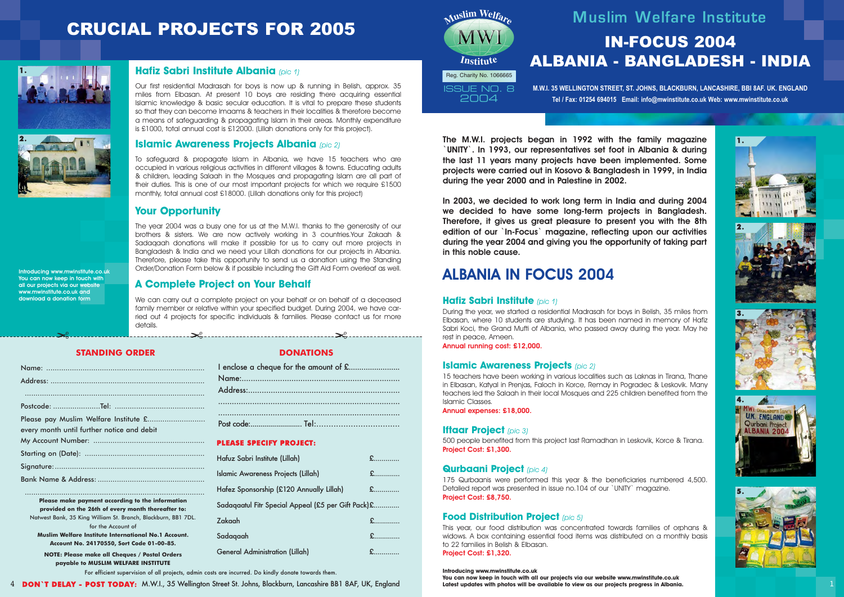| every month until further notice and debit |  |
|--------------------------------------------|--|
|                                            |  |
|                                            |  |
|                                            |  |
|                                            |  |
|                                            |  |
|                                            |  |
|                                            |  |

| I enclose a cheque for the amount of £ |
|----------------------------------------|
|                                        |
|                                        |
|                                        |
|                                        |
|                                        |

**Please make payment according to the information provided on the 26th of every month thereafter to:** Natwest Bank, 35 King William St. Branch, Blackburn, BB1 7DL. for the Account of **Muslim Welfare Institute International No.1 Account.**

**Account No. 24170550, Sort Code 01-00-85. NOTE: Please make all Cheques / Postal Orders** 

**payable to MUSLIM WELFARE INSTITUTE**

 $\sim$   $\sim$ 

For efficient supervision of all projects, admin costs are incurred. Do kindly donate towards them.

4 **DON`T DELAY - POST TODAY:** M.W.I., 35 Wellington Street St. Johns, Blackburn, Lancashire BB1 8AF, UK, England

#### **PLEASE SPECIFY PROJECT:**

| Hafuz Sabri Institute (Lillah)                     | £   |
|----------------------------------------------------|-----|
| Islamic Awareness Projects (Lillah)                | £   |
| Hafez Sponsorship (£120 Annually Lillah)           | $E$ |
| Sadaqaatul Fitr Special Appeal (£5 per Gift Pack)£ |     |
| Zakaah                                             | £   |
| Sadaqaah                                           | £   |
| <b>General Administration (Lillah)</b>             | £   |

Introducing www.mwinstitute.co.uk You can now keep in touch with all our projects via our website www.mwinstitute.co.uk and download a donation form

## ALBANIA IN FOCUS 2004

#### **Hafiz Sabri Institute** *(pic 1)*

During the year, we started a residential Madrasah for boys in Belish, 35 miles from Elbasan, where 10 students are studying. It has been named in memory of Hafiz Sabri Koci, the Grand Mufti of Albania, who passed away during the year. May he rest in peace, Ameen.

Annual running cost: £12,000.

## **Islamic Awareness Projects** *(pic 2)*

15 teachers have been working in various localities such as Laknas in Tirana, Thane in Elbasan, Katyal in Prenjas, Faloch in Korce, Remay in Pogradec & Leskovik. Many teachers led the Salaah in their local Mosques and 225 children benefited from the Islamic Classes.

Annual expenses: £18,000.

## **Iftaar Project** *(pic 3)*

500 people benefited from this project last Ramadhan in Leskovik, Korce & Tirana. Project Cost: £1,300.

## **Qurbaani Project** *(pic 4)*

175 Qurbaanis were performed this year & the beneficiaries numbered 4,500. Detailed report was presented in issue no.104 of our `UNITY` magazine. Project Cost: £8,750.

## **Food Distribution Project** *(pic 5)*

This year, our food distribution was concentrated towards families of orphans & widows. A box containing essential food items was distributed on a monthly basis to 22 families in Belish & Elbasan. Project Cost: £1,320.

The M.W.I. projects began in 1992 with the family magazine `UNITY`. In 1993, our representatives set foot in Albania & during the last 11 years many projects have been implemented. Some projects were carried out in Kosovo & Bangladesh in 1999, in India during the year 2000 and in Palestine in 2002.

In 2003, we decided to work long term in India and during 2004 we decided to have some long-term projects in Bangladesh. Therefore, it gives us great pleasure to present you with the 8th edition of our `In-Focus` magazine, reflecting upon our activities during the year 2004 and giving you the opportunity of taking part in this noble cause.



# **Muslim Welfare Institute** IN-FOCUS 2004

**M.W.I. 35 WELLINGTON STREET, ST. JOHNS, BLACKBURN, LANCASHIRE, BBI 8AF. UK. ENGLAND Tel / Fax: 01254 694015 Email: info@mwinstitute.co.uk Web: www.mwinstitute.co.uk**

# ALBANIA - BANGLADESH - INDIA

**Introducing www.mwinstitute.co.uk**

**You can now keep in touch with all our projects via our website www.mwinstitute.co.uk Latest updates with photos will be available to view as our projects progress in Albania.** 

## **Hafiz Sabri Institute Albania** *(pic 1)*

Our first residential Madrasah for boys is now up & running in Belish, approx. 35 miles from Elbasan. At present 10 boys are residing there acquiring essential Islamic knowledge & basic secular education. It is vital to prepare these students so that they can become Imaams & teachers in their localities & therefore become a means of safeguarding & propagating Islam in their areas. Monthly expenditure is £1000, total annual cost is £12000. (Lillah donations only for this project).

## **Islamic Awareness Projects Albania** *(pic 2)*

To safeguard & propagate Islam in Albania, we have 15 teachers who are occupied in various religious activities in different villages & towns. Educating adults & children, leading Salaah in the Mosques and propagating Islam are all part of their duties. This is one of our most important projects for which we require £1500 monthly, total annual cost £18000. (Lillah donations only for this project)



## CRUCIAL PROJECTS FOR 2005

## **Your Opportunity**

The year 2004 was a busy one for us at the M.W.I. thanks to the generosity of our brothers & sisters. We are now actively working in 3 countries.Your Zakaah & Sadaqaah donations will make it possible for us to carry out more projects in Bangladesh & India and we need your Lillah donations for our projects in Albania. Therefore, please take this opportunity to send us a donation using the Standing Order/Donation Form below & if possible including the Gift Aid Form overleaf as well.

## **A Complete Project on Your Behalf**

We can carry out a complete project on your behalf or on behalf of a deceased family member or relative within your specified budget. During 2004, we have carried out 4 projects for specific individuals & families. Please contact us for more details.

## **STANDING ORDER DONATIONS**